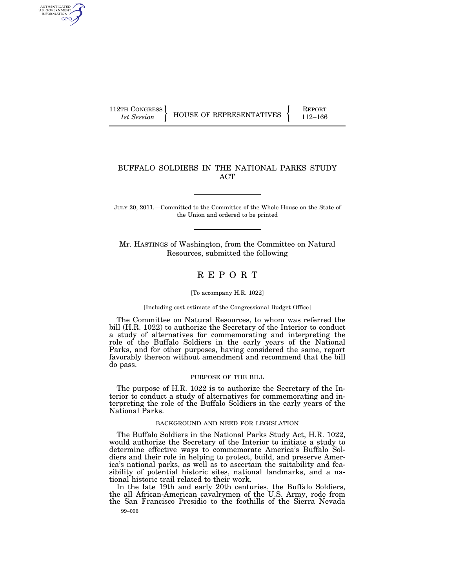AUTHENTICATED U.S. GOVERNMENT GPO

112TH CONGRESS HOUSE OF REPRESENTATIVES FEPORT 112-166

## BUFFALO SOLDIERS IN THE NATIONAL PARKS STUDY ACT

JULY 20, 2011.—Committed to the Committee of the Whole House on the State of the Union and ordered to be printed

Mr. HASTINGS of Washington, from the Committee on Natural Resources, submitted the following

# R E P O R T

#### [To accompany H.R. 1022]

[Including cost estimate of the Congressional Budget Office]

The Committee on Natural Resources, to whom was referred the bill (H.R. 1022) to authorize the Secretary of the Interior to conduct a study of alternatives for commemorating and interpreting the role of the Buffalo Soldiers in the early years of the National Parks, and for other purposes, having considered the same, report favorably thereon without amendment and recommend that the bill do pass.

#### PURPOSE OF THE BILL

The purpose of H.R. 1022 is to authorize the Secretary of the Interior to conduct a study of alternatives for commemorating and interpreting the role of the Buffalo Soldiers in the early years of the National Parks.

#### BACKGROUND AND NEED FOR LEGISLATION

The Buffalo Soldiers in the National Parks Study Act, H.R. 1022, would authorize the Secretary of the Interior to initiate a study to determine effective ways to commemorate America's Buffalo Soldiers and their role in helping to protect, build, and preserve America's national parks, as well as to ascertain the suitability and feasibility of potential historic sites, national landmarks, and a national historic trail related to their work.

99–006 In the late 19th and early 20th centuries, the Buffalo Soldiers, the all African-American cavalrymen of the U.S. Army, rode from the San Francisco Presidio to the foothills of the Sierra Nevada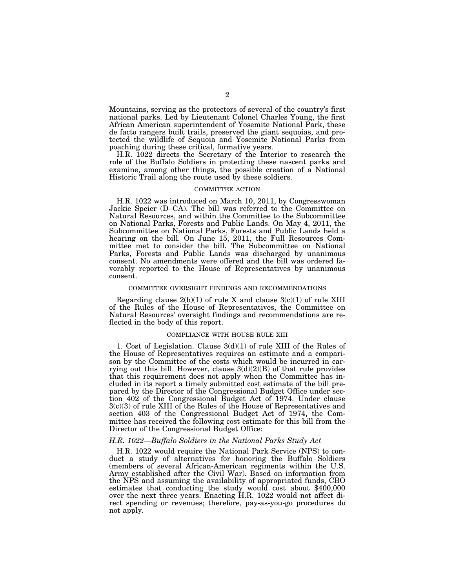Mountains, serving as the protectors of several of the country's first national parks. Led by Lieutenant Colonel Charles Young, the first African American superintendent of Yosemite National Park, these de facto rangers built trails, preserved the giant sequoias, and protected the wildlife of Sequoia and Yosemite National Parks from poaching during these critical, formative years.

H.R. 1022 directs the Secretary of the Interior to research the role of the Buffalo Soldiers in protecting these nascent parks and examine, among other things, the possible creation of a National Historic Trail along the route used by these soldiers.

#### COMMITTEE ACTION

H.R. 1022 was introduced on March 10, 2011, by Congresswoman Jackie Speier (D–CA). The bill was referred to the Committee on Natural Resources, and within the Committee to the Subcommittee on National Parks, Forests and Public Lands. On May 4, 2011, the Subcommittee on National Parks, Forests and Public Lands held a hearing on the bill. On June 15, 2011, the Full Resources Committee met to consider the bill. The Subcommittee on National Parks, Forests and Public Lands was discharged by unanimous consent. No amendments were offered and the bill was ordered favorably reported to the House of Representatives by unanimous consent.

#### COMMITTEE OVERSIGHT FINDINGS AND RECOMMENDATIONS

Regarding clause  $2(b)(1)$  of rule X and clause  $3(c)(1)$  of rule XIII of the Rules of the House of Representatives, the Committee on Natural Resources' oversight findings and recommendations are reflected in the body of this report.

#### COMPLIANCE WITH HOUSE RULE XIII

1. Cost of Legislation. Clause 3(d)(1) of rule XIII of the Rules of the House of Representatives requires an estimate and a comparison by the Committee of the costs which would be incurred in carrying out this bill. However, clause  $3(d)(2)(B)$  of that rule provides that this requirement does not apply when the Committee has included in its report a timely submitted cost estimate of the bill prepared by the Director of the Congressional Budget Office under section 402 of the Congressional Budget Act of 1974. Under clause 3(c)(3) of rule XIII of the Rules of the House of Representatives and section 403 of the Congressional Budget Act of 1974, the Committee has received the following cost estimate for this bill from the Director of the Congressional Budget Office:

### *H.R. 1022—Buffalo Soldiers in the National Parks Study Act*

H.R. 1022 would require the National Park Service (NPS) to conduct a study of alternatives for honoring the Buffalo Soldiers (members of several African-American regiments within the U.S. Army established after the Civil War). Based on information from the NPS and assuming the availability of appropriated funds, CBO estimates that conducting the study would cost about \$400,000 over the next three years. Enacting H.R. 1022 would not affect direct spending or revenues; therefore, pay-as-you-go procedures do not apply.